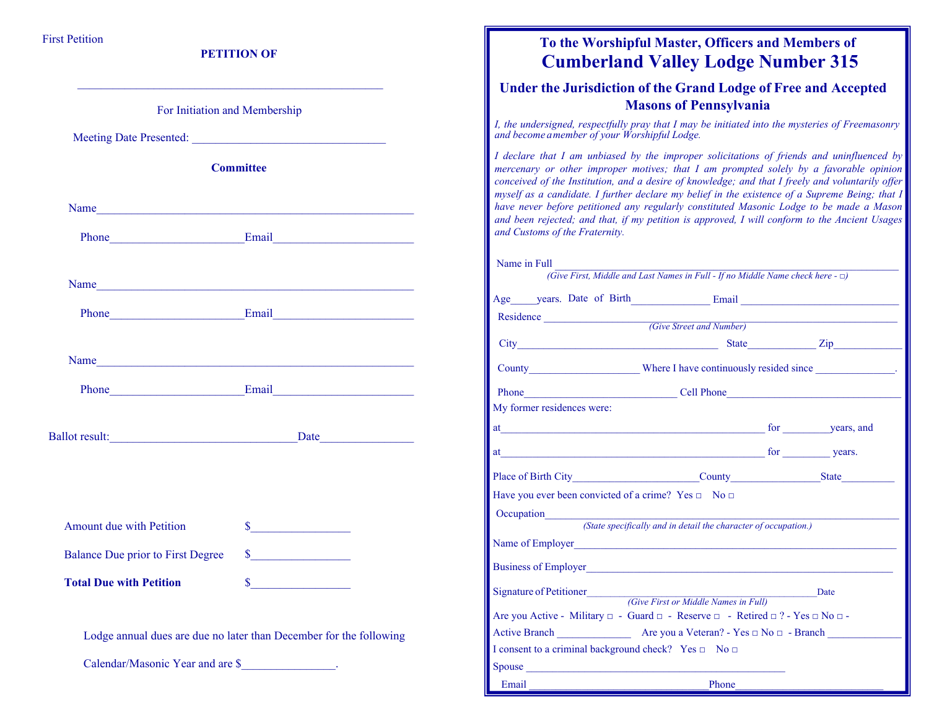# **PETITION OF** For Initiation and Membership Meeting Date Presented: **Committee** First Postco<br>
For Train Reservoire and Membershape Matter Level (Michael Matter Level 2007)<br>
The Reservoire and Membershape and Membershape and Membershape and Membershape and Accepted<br>
Communities<br>
Accepted and Membersha

# **To the Worshipful Master, Officers and Members ofCumberland Valley Lodge Number 315**

## **Under the Jurisdiction of the Grand Lodge of Free and AcceptedMasons of Pennsylvania**

*I, the undersigned, respectfully pray that I may be initiated into the mysteries of Freemasonry and become a member of your Worshipful Lodge.* 

*I declare that I am unbiased by the improper solicitations of friends and uninfluenced by mercenary or other improper motives; that I am prompted solely by a favorable opinion conceived of the Institution, and a desire of knowledge; and that I freely and voluntarily offer myself as a candidate. I further declare my belief in the existence of a Supreme Being; that I have never before petitioned any regularly constituted Masonic Lodge to be made a Mason and been rejected; and that, if my petition is approved, I will conform to the Ancient Usages and Customs of the Fraternity.*

Name in Full

| гуание ни г чи<br>(Give First, Middle and Last Names in Full - If no Middle Name check here - $\Box$ )                                                                                                                                                      |                          |      |  |
|-------------------------------------------------------------------------------------------------------------------------------------------------------------------------------------------------------------------------------------------------------------|--------------------------|------|--|
| Age years. Date of Birth Email Email Contains and the set of Birth Email Contains and the set of Birth Contains and the set of Birth Contains and the set of Birth Contains and the set of Birth Contains and the set of Birth                              |                          |      |  |
| Residence                                                                                                                                                                                                                                                   |                          |      |  |
|                                                                                                                                                                                                                                                             | (Give Street and Number) |      |  |
|                                                                                                                                                                                                                                                             |                          |      |  |
| County_______________________Where I have continuously resided since _____________.                                                                                                                                                                         |                          |      |  |
| <u>Cell Phone</u> Cell Phone <b>Communication</b> Cell Phone <b>Communication</b> Cell Phone <b>Communication</b> Communication Communication Communication Communication Communication Communication Communication Communication Communication Co<br>Phone |                          |      |  |
| My former residences were:                                                                                                                                                                                                                                  |                          |      |  |
|                                                                                                                                                                                                                                                             |                          |      |  |
| at <u>contract the set of the set of the set of the set of the set of the set of the set of the set of the set of the set of the set of the set of the set of the set of the set of the set of the set of the set of the set of </u>                        |                          |      |  |
| Place of Birth City County County State State                                                                                                                                                                                                               |                          |      |  |
| Have you ever been convicted of a crime? Yes $\Box$ No $\Box$                                                                                                                                                                                               |                          |      |  |
| Occupation                                                                                                                                                                                                                                                  |                          |      |  |
| (State specifically and in detail the character of occupation.)                                                                                                                                                                                             |                          |      |  |
| Name of Employer<br><u>Name of Employer</u>                                                                                                                                                                                                                 |                          |      |  |
| Business of Employer                                                                                                                                                                                                                                        |                          |      |  |
| Signature of Petitioner<br>(Give First or Middle Names in Full)                                                                                                                                                                                             |                          | Date |  |
| Are you Active - Military $\Box$ - Guard $\Box$ - Reserve $\Box$ - Retired $\Box$ ? - Yes $\Box$ No $\Box$ -                                                                                                                                                |                          |      |  |
|                                                                                                                                                                                                                                                             |                          |      |  |
| I consent to a criminal background check? Yes $\Box$ No $\Box$                                                                                                                                                                                              |                          |      |  |
|                                                                                                                                                                                                                                                             |                          |      |  |
| Email                                                                                                                                                                                                                                                       | Phone                    |      |  |